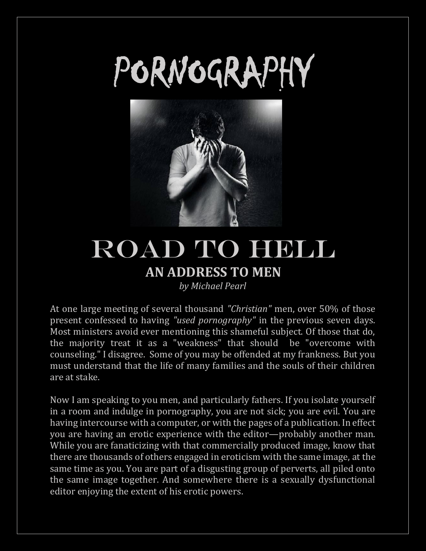



## ROAD TO HELL **AN ADDRESS TO MEN**

*by Michael Pearl*

At one large meeting of several thousand *"Christian"* men, over 50% of those present confessed to having *"used pornography"* in the previous seven days. Most ministers avoid ever mentioning this shameful subject. Of those that do, the majority treat it as a "weakness" that should be "overcome with counseling." I disagree. Some of you may be offended at my frankness. But you must understand that the life of many families and the souls of their children are at stake.

Now I am speaking to you men, and particularly fathers. If you isolate yourself in a room and indulge in pornography, you are not sick; you are evil. You are having intercourse with a computer, or with the pages of a publication. In effect you are having an erotic experience with the editor—probably another man. While you are fanaticizing with that commercially produced image, know that there are thousands of others engaged in eroticism with the same image, at the same time as you. You are part of a disgusting group of perverts, all piled onto the same image together. And somewhere there is a sexually dysfunctional editor enjoying the extent of his erotic powers.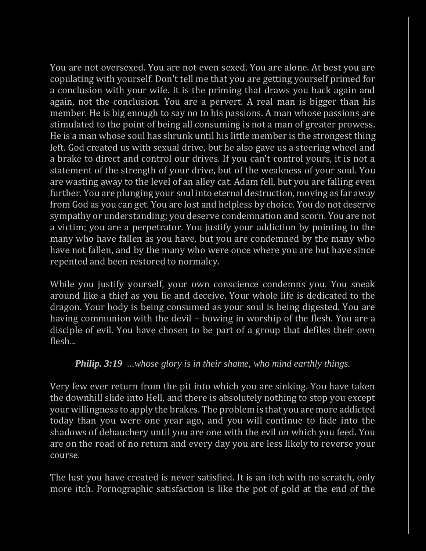You are not oversexed. You are not even sexed. You are alone. At best you are copulating with yourself. Don't tell me that you are getting yourself primed for a conclusion with your wife. It is the priming that draws you back again and again, not the conclusion. You are a pervert. A real man is bigger than his member. He is big enough to say no to his passions. A man whose passions are stimulated to the point of being all consuming is not a man of greater prowess. He is a man whose soul has shrunk until his little member is the strongest thing left. God created us with sexual drive, but he also gave us a steering wheel and a brake to direct and control our drives. If you can't control yours, it is not a statement of the strength of your drive, but of the weakness of your soul. You are wasting away to the level of an alley cat. Adam fell, but you are falling even further. You are plunging your soul into eternal destruction, moving as far away from God as you can get. You are lost and helpless by choice. You do not deserve sympathy or understanding; you deserve condemnation and scorn. You are not a victim; you are a perpetrator. You justify your addiction by pointing to the many who have fallen as you have, but you are condemned by the many who have not fallen, and by the many who were once where you are but have since repented and been restored to normalcy.

While you justify yourself, your own conscience condemns you. You sneak around like a thief as you lie and deceive. Your whole life is dedicated to the dragon. Your body is being consumed as your soul is being digested. You are having communion with the devil – bowing in worship of the flesh. You are a disciple of evil. You have chosen to be part of a group that defiles their own flesh...

## *Philip. 3:19 ...whose glory is in their shame, who mind earthly things.*

Very few ever return from the pit into which you are sinking. You have taken the downhill slide into Hell, and there is absolutely nothing to stop you except your willingness to apply the brakes. The problem is that you are more addicted today than you were one year ago, and you will continue to fade into the shadows of debauchery until you are one with the evil on which you feed. You are on the road of no return and every day you are less likely to reverse your course.

The lust you have created is never satisfied. It is an itch with no scratch, only more itch. Pornographic satisfaction is like the pot of gold at the end of the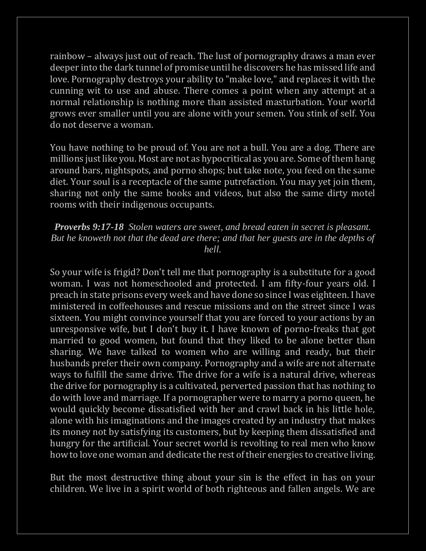rainbow – always just out of reach. The lust of pornography draws a man ever deeper into the dark tunnel of promise until he discovers he has missed life and love. Pornography destroys your ability to "make love," and replaces it with the cunning wit to use and abuse. There comes a point when any attempt at a normal relationship is nothing more than assisted masturbation. Your world grows ever smaller until you are alone with your semen. You stink of self. You do not deserve a woman.

You have nothing to be proud of. You are not a bull. You are a dog. There are millions just like you. Most are not as hypocritical as you are. Some of them hang around bars, nightspots, and porno shops; but take note, you feed on the same diet. Your soul is a receptacle of the same putrefaction. You may yet join them, sharing not only the same books and videos, but also the same dirty motel rooms with their indigenous occupants.

*Proverbs 9:17-18 Stolen waters are sweet, and bread eaten in secret is pleasant. But he knoweth not that the dead are there; and that her guests are in the depths of hell.* 

So your wife is frigid? Don't tell me that pornography is a substitute for a good woman. I was not homeschooled and protected. I am fifty-four years old. I preach in state prisons every week and have done so since I was eighteen. I have ministered in coffeehouses and rescue missions and on the street since I was sixteen. You might convince yourself that you are forced to your actions by an unresponsive wife, but I don't buy it. I have known of porno-freaks that got married to good women, but found that they liked to be alone better than sharing. We have talked to women who are willing and ready, but their husbands prefer their own company. Pornography and a wife are not alternate ways to fulfill the same drive. The drive for a wife is a natural drive, whereas the drive for pornography is a cultivated, perverted passion that has nothing to do with love and marriage. If a pornographer were to marry a porno queen, he would quickly become dissatisfied with her and crawl back in his little hole, alone with his imaginations and the images created by an industry that makes its money not by satisfying its customers, but by keeping them dissatisfied and hungry for the artificial. Your secret world is revolting to real men who know how to love one woman and dedicate the rest of their energies to creative living.

But the most destructive thing about your sin is the effect in has on your children. We live in a spirit world of both righteous and fallen angels. We are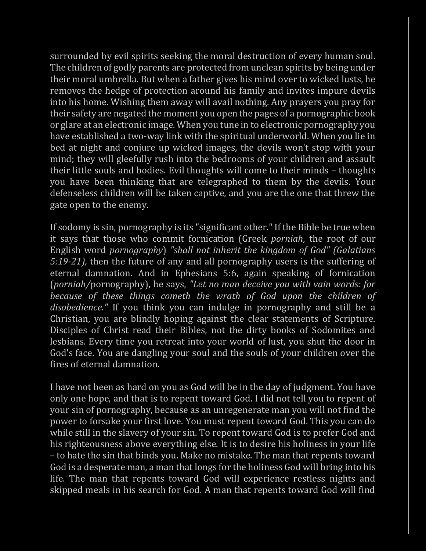surrounded by evil spirits seeking the moral destruction of every human soul. The children of godly parents are protected from unclean spirits by being under their moral umbrella. But when a father gives his mind over to wicked lusts, he removes the hedge of protection around his family and invites impure devils into his home. Wishing them away will avail nothing. Any prayers you pray for their safety are negated the moment you open the pages of a pornographic book or glare at an electronic image. When you tune in to electronic pornography you have established a two-way link with the spiritual underworld. When you lie in bed at night and conjure up wicked images, the devils won't stop with your mind; they will gleefully rush into the bedrooms of your children and assault their little souls and bodies. Evil thoughts will come to their minds – thoughts you have been thinking that are telegraphed to them by the devils. Your defenseless children will be taken captive, and you are the one that threw the gate open to the enemy.

If sodomy is sin, pornography is its "significant other." If the Bible be true when it says that those who commit fornication (Greek *porniah*, the root of our English word *pornography*) *"shall not inherit the kingdom of God" (Galatians 5:19-21),* then the future of any and all pornography users is the suffering of eternal damnation. And in Ephesians 5:6, again speaking of fornication (*porniah/*pornography), he says, *"Let no man deceive you with vain words: for because of these things cometh the wrath of God upon the children of disobedience."* If you think you can indulge in pornography and still be a Christian, you are blindly hoping against the clear statements of Scripture. Disciples of Christ read their Bibles, not the dirty books of Sodomites and lesbians. Every time you retreat into your world of lust, you shut the door in God's face. You are dangling your soul and the souls of your children over the fires of eternal damnation.

I have not been as hard on you as God will be in the day of judgment. You have only one hope, and that is to repent toward God. I did not tell you to repent of your sin of pornography, because as an unregenerate man you will not find the power to forsake your first love. You must repent toward God. This you can do while still in the slavery of your sin. To repent toward God is to prefer God and his righteousness above everything else. It is to desire his holiness in your life – to hate the sin that binds you. Make no mistake. The man that repents toward God is a desperate man, a man that longs for the holiness God will bring into his life. The man that repents toward God will experience restless nights and skipped meals in his search for God. A man that repents toward God will find